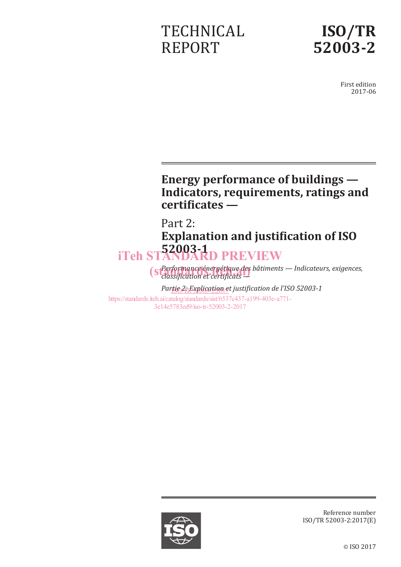# **TECHNICAL** REPORT



First edition 2017-06

# **Energy performance of buildings — Indicators, requirements, ratings and certificates —**

Part 2: **Explanation and justification of ISO 52003-1** iTeh STANDARD PREVIEW

*Performance énergétique des bâtiments — Indicateurs, exigences, classification et certificats —* 

*Partie 2: Explication et justification de l'ISO 52003-1* ISO/TR52003-2:2017

https://standards.iteh.ai/catalog/standards/sist/6537c437-a199-403e-a771- 3e14e5783ed9/iso-tr-52003-2-2017



Reference number ISO/TR 52003-2:2017(E)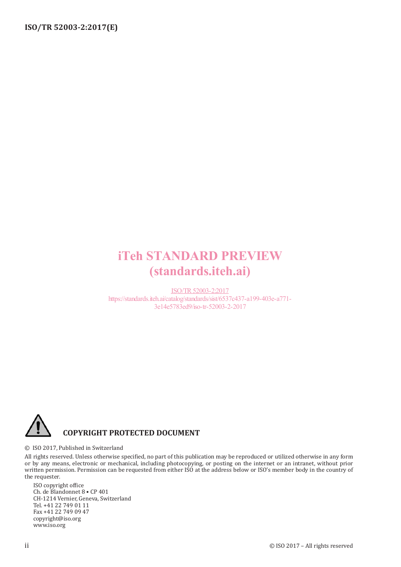# iTeh STANDARD PREVIEW (standards.iteh.ai)

ISO/TR52003-2:2017 https://standards.iteh.ai/catalog/standards/sist/6537c437-a199-403e-a771- 3e14e5783ed9/iso-tr-52003-2-2017



#### © ISO 2017, Published in Switzerland

All rights reserved. Unless otherwise specified, no part of this publication may be reproduced or utilized otherwise in any form or by any means, electronic or mechanical, including photocopying, or posting on the internet or an intranet, without prior written permission. Permission can be requested from either ISO at the address below or ISO's member body in the country of the requester.

ISO copyright office Ch. de Blandonnet 8 • CP 401 CH-1214 Vernier, Geneva, Switzerland Tel. +41 22 749 01 11 Fax +41 22 749 09 47 copyright@iso.org www.iso.org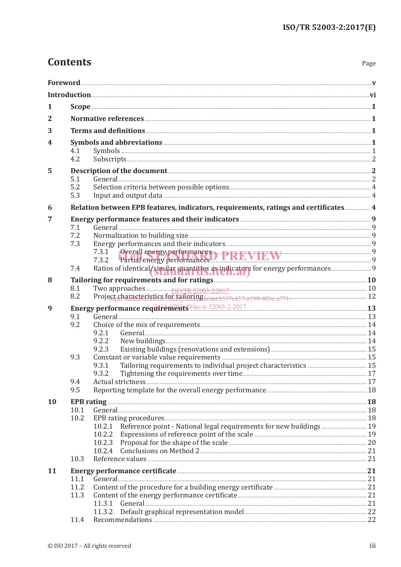# **Contents**

| 1         |                                                                                                                                                                                                                                       |                                                                                         |  |  |  |  |  |
|-----------|---------------------------------------------------------------------------------------------------------------------------------------------------------------------------------------------------------------------------------------|-----------------------------------------------------------------------------------------|--|--|--|--|--|
| 2         |                                                                                                                                                                                                                                       |                                                                                         |  |  |  |  |  |
| 3         |                                                                                                                                                                                                                                       |                                                                                         |  |  |  |  |  |
| 4         | Symbols and abbreviations <b>Example 2018</b> 1                                                                                                                                                                                       |                                                                                         |  |  |  |  |  |
|           | Symbols 2008 and 2008 and 2008 and 2008 and 2008 and 2008 and 2008 and 2008 and 2008 and 2008 and 2008 and 2008 and 2008 and 2008 and 2008 and 2008 and 2008 and 2008 and 2008 and 2008 and 2008 and 2008 and 2008 and 2008 an<br>4.1 |                                                                                         |  |  |  |  |  |
|           | 4.2                                                                                                                                                                                                                                   |                                                                                         |  |  |  |  |  |
| 5         | Description of the document <b>Exercise 2</b>                                                                                                                                                                                         |                                                                                         |  |  |  |  |  |
|           | 5.1<br>5.2                                                                                                                                                                                                                            |                                                                                         |  |  |  |  |  |
|           | 5.3                                                                                                                                                                                                                                   |                                                                                         |  |  |  |  |  |
| 6         |                                                                                                                                                                                                                                       | Relation between EPB features, indicators, requirements, ratings and certificates 4     |  |  |  |  |  |
| 7         | Energy performance features and their indicators <b>Energy performance</b> features and their indicators <b>Energy</b>                                                                                                                |                                                                                         |  |  |  |  |  |
|           | 7.1                                                                                                                                                                                                                                   |                                                                                         |  |  |  |  |  |
|           | 7.2                                                                                                                                                                                                                                   |                                                                                         |  |  |  |  |  |
|           | 7.3                                                                                                                                                                                                                                   |                                                                                         |  |  |  |  |  |
|           |                                                                                                                                                                                                                                       | 7.3.1 Overall energy performances PREVIEW 37.3.2 Partial energy performances PREVIEW 39 |  |  |  |  |  |
|           | 7.4                                                                                                                                                                                                                                   |                                                                                         |  |  |  |  |  |
| 8         | Tailoring for requirements and for ratings <b>Energy and Equipments</b> 10                                                                                                                                                            |                                                                                         |  |  |  |  |  |
|           | 8.1                                                                                                                                                                                                                                   |                                                                                         |  |  |  |  |  |
|           | 8.2                                                                                                                                                                                                                                   |                                                                                         |  |  |  |  |  |
| 9         | Energy performance requirements <sup>9/iso-tr-52003-2-2017</sup>                                                                                                                                                                      |                                                                                         |  |  |  |  |  |
|           | 9.1<br>9.2<br>9.3                                                                                                                                                                                                                     |                                                                                         |  |  |  |  |  |
|           |                                                                                                                                                                                                                                       | 9.2.1                                                                                   |  |  |  |  |  |
|           |                                                                                                                                                                                                                                       | 9.2.2                                                                                   |  |  |  |  |  |
|           |                                                                                                                                                                                                                                       | 9.2.3                                                                                   |  |  |  |  |  |
|           |                                                                                                                                                                                                                                       | 9.3.1                                                                                   |  |  |  |  |  |
|           |                                                                                                                                                                                                                                       | 9.3.2                                                                                   |  |  |  |  |  |
|           | 9.4                                                                                                                                                                                                                                   |                                                                                         |  |  |  |  |  |
|           | 9.5                                                                                                                                                                                                                                   |                                                                                         |  |  |  |  |  |
| <b>10</b> | EPB rating 18                                                                                                                                                                                                                         |                                                                                         |  |  |  |  |  |
|           | 10.1                                                                                                                                                                                                                                  |                                                                                         |  |  |  |  |  |
|           | 10.2                                                                                                                                                                                                                                  |                                                                                         |  |  |  |  |  |
|           |                                                                                                                                                                                                                                       | 10.2.2                                                                                  |  |  |  |  |  |
|           |                                                                                                                                                                                                                                       | 10.2.3 Proposal for the shape of the scale <b>Manual Community</b> 20                   |  |  |  |  |  |
|           |                                                                                                                                                                                                                                       | 10.2.4                                                                                  |  |  |  |  |  |
|           | 10.3                                                                                                                                                                                                                                  |                                                                                         |  |  |  |  |  |
| <b>11</b> |                                                                                                                                                                                                                                       |                                                                                         |  |  |  |  |  |
|           | General 21 21<br>11.1<br>11.2                                                                                                                                                                                                         |                                                                                         |  |  |  |  |  |
|           | 11.3                                                                                                                                                                                                                                  |                                                                                         |  |  |  |  |  |
|           |                                                                                                                                                                                                                                       | 11.3.1                                                                                  |  |  |  |  |  |
|           |                                                                                                                                                                                                                                       | 11.3.2                                                                                  |  |  |  |  |  |
|           | 11.4                                                                                                                                                                                                                                  | Recommendations 22                                                                      |  |  |  |  |  |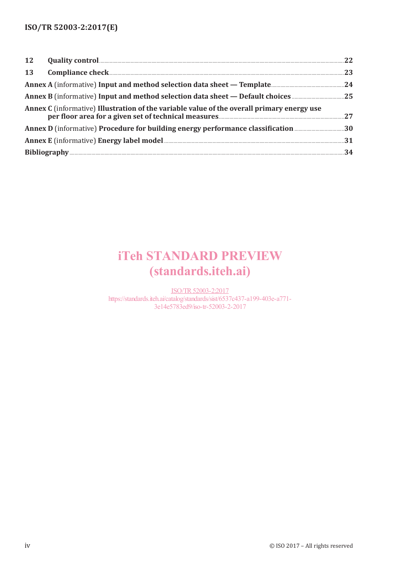| 12        | Quality control <b>control</b> and the control of the control of the control of the control of the control of the control of the control of the control of the control of the control of the control of the control of the control |     |
|-----------|------------------------------------------------------------------------------------------------------------------------------------------------------------------------------------------------------------------------------------|-----|
| <b>13</b> |                                                                                                                                                                                                                                    |     |
|           |                                                                                                                                                                                                                                    |     |
|           |                                                                                                                                                                                                                                    |     |
|           | Annex C (informative) Illustration of the variable value of the overall primary energy use                                                                                                                                         | .27 |
|           |                                                                                                                                                                                                                                    |     |
|           |                                                                                                                                                                                                                                    | .31 |
|           |                                                                                                                                                                                                                                    | 34  |

# iTeh STANDARD PREVIEW (standards.iteh.ai)

ISO/TR52003-2:2017 https://standards.iteh.ai/catalog/standards/sist/6537c437-a199-403e-a771- 3e14e5783ed9/iso-tr-52003-2-2017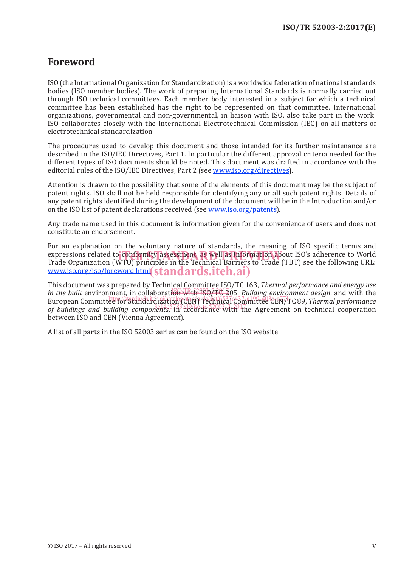# **Foreword**

ISO (the International Organization for Standardization) is a worldwide federation of national standards bodies (ISO member bodies). The work of preparing International Standards is normally carried out through ISO technical committees. Each member body interested in a subject for which a technical committee has been established has the right to be represented on that committee. International organizations, governmental and non-governmental, in liaison with ISO, also take part in the work. ISO collaborates closely with the International Electrotechnical Commission (IEC) on all matters of electrotechnical standardization.

The procedures used to develop this document and those intended for its further maintenance are described in the ISO/IEC Directives, Part 1. In particular the different approval criteria needed for the different types of ISO documents should be noted. This document was drafted in accordance with the editorial rules of the ISO/IEC Directives, Part 2 (see www.iso.org/directives).

Attention is drawn to the possibility that some of the elements of this document may be the subject of patent rights. ISO shall not be held responsible for identifying any or all such patent rights. Details of any patent rights identified during the development of the document will be in the Introduction and/or on the ISO list of patent declarations received (see www.iso.org/patents).

Any trade name used in this document is information given for the convenience of users and does not constitute an endorsement.

For an explanation on the voluntary nature of standards, the meaning of ISO specific terms and expressions related to conformity assessment, as well as information about ISO's adherence to World<br>Trade Organization (WTO) principles in the Technical Barriers to Trade (TBT) see the following URL: Trade Organization (WTO) principles in the Technical Barriers to Trade (TBT) see the following URL: www.iso.org/iso/foreword.html(standards.iteh.ai)

This document was prepared by Technical Committee ISO/TC 163, *Thermal performance and energy use in the built* environment, in collaboration with ISO/TC 205, *Building environment design*, and with the nt one same committee for Standardization (CEN) Technical Committee CEN/TC 89, *Thermal performance* **European Committee for Standardization** of buildings and building components, in accordance with the Agreement on technical cooperation between ISO and CEN (Vienna Agreement).

A list of all parts in the ISO 52003 series can be found on the ISO website.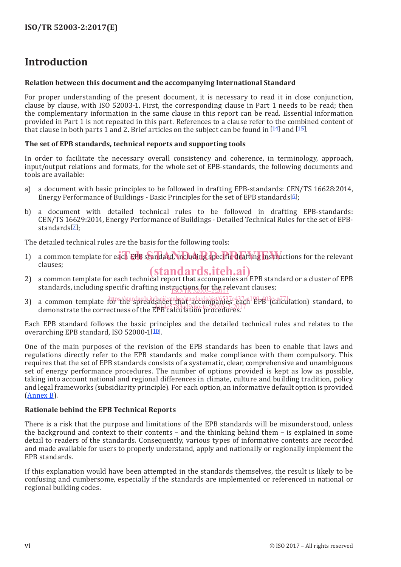# **Introduction**

### **Relation between this document and the accompanying International Standard**

For proper understanding of the present document, it is necessary to read it in close conjunction, clause by clause, with ISO 52003-1. First, the corresponding clause in Part 1 needs to be read; then the complementary information in the same clause in this report can be read. Essential information provided in Part 1 is not repeated in this part. References to a clause refer to the combined content of that clause in both parts 1 and 2. Brief articles on the subject can be found in [14] and [15].

### **The set of EPB standards, technical reports and supporting tools**

In order to facilitate the necessary overall consistency and coherence, in terminology, approach, input/output relations and formats, for the whole set of EPB-standards, the following documents and tools are available:

- a) a document with basic principles to be followed in drafting EPB-standards: CEN/TS 16628:2014, Energy Performance of Buildings - Basic Principles for the set of EPB standards $[6]$ ;
- b) a document with detailed technical rules to be followed in drafting EPB-standards: CEN/TS 16629:2014, Energy Performance of Buildings - Detailed Technical Rules for the set of EPBstandards[7];

The detailed technical rules are the basis for the following tools:

- 1) a common template for each EPB standard, including specific drafting instructions for the relevant clauses; (standards.iteh.ai)
- 2) a common template for each technical report that accompanies an EPB standard or a cluster of EPB standards, including specific drafting inst<u>ructions for the re</u>levant clauses;
- 3) a common template for the spreadsheet that accompanies each EPB (calculation) standard, to demonstrate the correctness of the EPB calculation procedures.

Each EPB standard follows the basic principles and the detailed technical rules and relates to the overarching EPB standard, ISO 52000-1[10].

One of the main purposes of the revision of the EPB standards has been to enable that laws and regulations directly refer to the EPB standards and make compliance with them compulsory. This requires that the set of EPB standards consists of a systematic, clear, comprehensive and unambiguous set of energy performance procedures. The number of options provided is kept as low as possible, taking into account national and regional differences in climate, culture and building tradition, policy and legal frameworks (subsidiarity principle). For each option, an informative default option is provided (Annex B).

#### **Rationale behind the EPB Technical Reports**

There is a risk that the purpose and limitations of the EPB standards will be misunderstood, unless the background and context to their contents – and the thinking behind them – is explained in some detail to readers of the standards. Consequently, various types of informative contents are recorded and made available for users to properly understand, apply and nationally or regionally implement the EPB standards.

If this explanation would have been attempted in the standards themselves, the result is likely to be confusing and cumbersome, especially if the standards are implemented or referenced in national or regional building codes.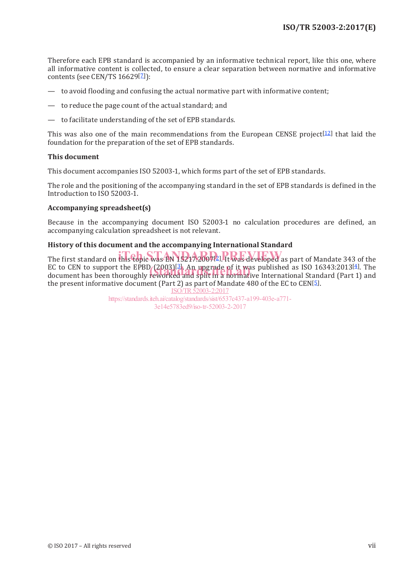Therefore each EPB standard is accompanied by an informative technical report, like this one, where all informative content is collected, to ensure a clear separation between normative and informative contents (see CEN/TS  $16629[2]$ ):

- to avoid flooding and confusing the actual normative part with informative content;
- to reduce the page count of the actual standard; and
- to facilitate understanding of the set of EPB standards.

This was also one of the main recommendations from the European CENSE project [12] that laid the foundation for the preparation of the set of EPB standards.

#### **This document**

This document accompanies ISO 52003-1, which forms part of the set of EPB standards.

The role and the positioning of the accompanying standard in the set of EPB standards is defined in the Introduction to ISO 52003-1.

#### **Accompanying spreadsheet(s)**

Because in the accompanying document ISO 52003-1 no calculation procedures are defined, an accompanying calculation spreadsheet is not relevant.

#### **History of this document and the accompanying International Standard**

The first standard on this topic was EN 15217-2007[2]. It was developed as part of Mandate 343 of the EC to CEN to support the EPBD (2003)<sup>[3]</sup>. An upgrade of it was published as ISO 16343:2013<sup>[4]</sup>. The EC to CEN to support the EPBD (2003)[3]. An upgrade of it was published as ISO 16343:2013[4]. The document has been thoroughly reworked and split in a normative International Standard (Part 1) and the present informative document (Part 2) as part of Mandate 480 of the EC to CEN[5]. ISO/TR52003-2:2017

https://standards.iteh.ai/catalog/standards/sist/6537c437-a199-403e-a771- 3e14e5783ed9/iso-tr-52003-2-2017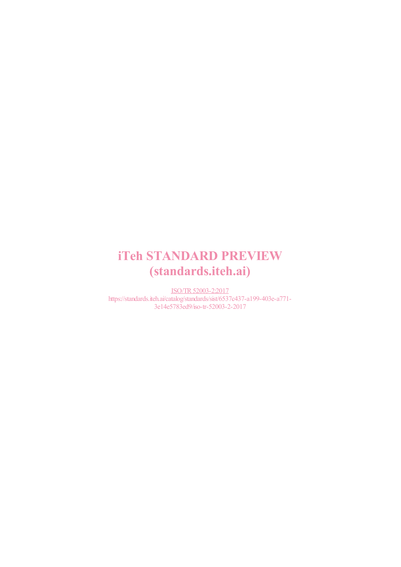# iTeh STANDARD PREVIEW (standards.iteh.ai)

ISO/TR52003-2:2017 https://standards.iteh.ai/catalog/standards/sist/6537c437-a199-403e-a771- 3e14e5783ed9/iso-tr-52003-2-2017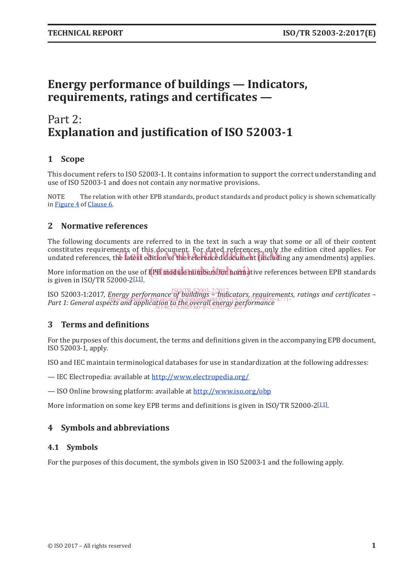# **Energy performance of buildings — Indicators, requirements, ratings and certificates —**

# Part 2: **Explanation and justification of ISO 52003-1**

## **1 Scope**

This document refers to ISO 52003-1. It contains information to support the correct understanding and use of ISO 52003-1 and does not contain any normative provisions.

NOTE The relation with other EPB standards, product standards and product policy is shown schematically in Figure 4 of Clause 6.

### **2 Normative references**

The following documents are referred to in the text in such a way that some or all of their content constitutes requirements of this document. For dated references, only the edition cited applies. For constitutes requirements of this document. For dated references, only the edition cited applies. For<br>undated references, the latest edition of the referenced document (including any amendments) applies.

More information on the use of **EPB module numbers for norma**tive references between EPB standards is given in ISO/TR 52000-2[11].

ISO 52003-1:2017, *Energy performance of buildings – Indicators, requirements, ratings and certificates –*  ISO/TR52003-2:2017 *Part 1: General aspects and application to the overall energy performance* https://standards.iteh.ai/catalog/standards/sist/6537c437-a199-403e-a771- 3e14e5783ed9/iso-tr-52003-2-2017

## **3 Terms and definitions**

For the purposes of this document, the terms and definitions given in the accompanying EPB document, ISO 52003-1, apply.

ISO and IEC maintain terminological databases for use in standardization at the following addresses:

— IEC Electropedia: available at http://www.electropedia.org/

— ISO Online browsing platform: available at http://www.iso.org/obp

More information on some key EPB terms and definitions is given in ISO/TR 52000-2[11].

### **4 Symbols and abbreviations**

### **4.1 Symbols**

For the purposes of this document, the symbols given in ISO 52003-1 and the following apply.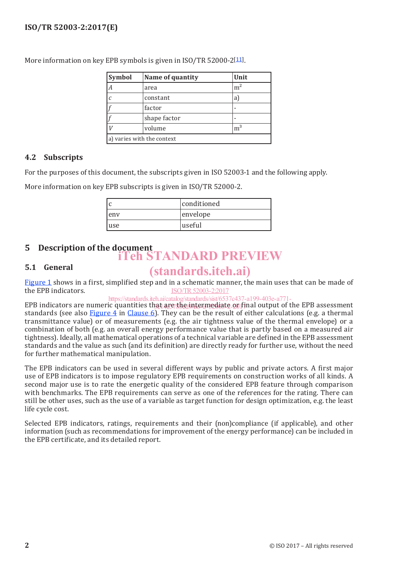### **ISO/TR 52003-2:2017(E)**

| <b>Symbol</b>              | Name of quantity | Unit           |  |  |  |
|----------------------------|------------------|----------------|--|--|--|
| А                          | area             | m <sup>2</sup> |  |  |  |
|                            | constant         | a)             |  |  |  |
|                            | factor           |                |  |  |  |
|                            | shape factor     |                |  |  |  |
|                            | volume           | m <sup>3</sup> |  |  |  |
| a) varies with the context |                  |                |  |  |  |

More information on key EPB symbols is given in ISO/TR 52000-2[11].

### **4.2 Subscripts**

For the purposes of this document, the subscripts given in ISO 52003-1 and the following apply.

More information on key EPB subscripts is given in ISO/TR 52000-2.

| l c  | conditioned |
|------|-------------|
| Teny | envelope    |
| luse | useful      |

# **5 Description of the document** iTeh STANDARD PREVIEW

### **5.1 General**

# (standards.iteh.ai)

Figure 1 shows in a first, simplified step and in a schematic manner, the main uses that can be made of the EPB indicators. ISO/TR52003-2:2017

https://standards.iteh.ai/catalog/standards/sist/6537c437-a199-403e-a771-

EPB indicators are numeric quantities that are the intermediate or final output of the EPB assessment standards (see also Figure 4 in Clause 6). They can be the result of either calculations (e.g. a thermal transmittance value) or of measurements (e.g. the air tightness value of the thermal envelope) or a combination of both (e.g. an overall energy performance value that is partly based on a measured air tightness). Ideally, all mathematical operations of a technical variable are defined in the EPB assessment standards and the value as such (and its definition) are directly ready for further use, without the need for further mathematical manipulation.

The EPB indicators can be used in several different ways by public and private actors. A first major use of EPB indicators is to impose regulatory EPB requirements on construction works of all kinds. A second major use is to rate the energetic quality of the considered EPB feature through comparison with benchmarks. The EPB requirements can serve as one of the references for the rating. There can still be other uses, such as the use of a variable as target function for design optimization, e.g. the least life cycle cost.

Selected EPB indicators, ratings, requirements and their (non)compliance (if applicable), and other information (such as recommendations for improvement of the energy performance) can be included in the EPB certificate, and its detailed report.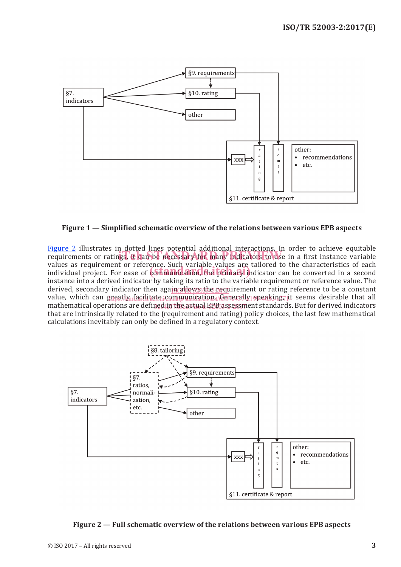

#### **Figure 1 — Simplified schematic overview of the relations between various EPB aspects**

Figure 2 illustrates in dotted lines potential additional interactions. In order to achieve equitable requirements or ratings, it can be necessary for many indicators to use in a first instance variable requirements or ratings, it can be necessary for many indicators to use in a first instance variable values as requirement or reference. Such variable values are tailored to the characteristics of each values as requirement or reference, such variable values are tallored to the characteristics of each<br>individual project. For ease of **communication, the primary in**dicator can be converted in a second instance into a derived indicator by taking its ratio to the variable requirement or reference value. The derived, secondary indicator then again allows the requirement or rating reference to be a constant value, which can greatly tacilitate communication. Generally speaking, it seems desirable that all  ${\rm mathematical}$  operations are defined in the actual EPB assessment standards. But for derived indicators that are intrinsically related to the (requirement and rating) policy choices, the last few mathematical calculations inevitably can only be defined in a regulatory context.



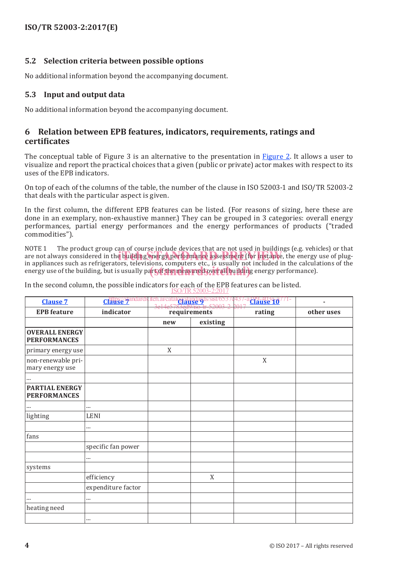### **5.2 Selection criteria between possible options**

No additional information beyond the accompanying document.

### **5.3 Input and output data**

No additional information beyond the accompanying document.

### **6 Relation between EPB features, indicators, requirements, ratings and certificates**

The conceptual table of Figure 3 is an alternative to the presentation in Figure 2. It allows a user to visualize and report the practical choices that a given (public or private) actor makes with respect to its uses of the EPB indicators.

On top of each of the columns of the table, the number of the clause in ISO 52003-1 and ISO/TR 52003-2 that deals with the particular aspect is given.

In the first column, the different EPB features can be listed. (For reasons of sizing, here these are done in an exemplary, non-exhaustive manner.) They can be grouped in 3 categories: overall energy performances, partial energy performances and the energy performances of products ("traded commodities").

NOTE 1 The product group can of course include devices that are not used in buildings (e.g. vehicles) or that are not always considered in the building energy performance assessment (for instance, the energy use of plug-<br>in appliances such as refrigerators, televisions, computers ats, is usually not included in the seleulations of in appliances such as refrigerators, televisions, computers etc., is usually not included in the calculations of the In apphances such as refrigerators, televisions, computers etc., is usually not included in the carcina<br>energy use of the building, but is usually part of the measured overall building energy performance).

| <b>Clause 7</b>                              | <b>Clause Standar</b> |              | <b>Glause 9</b> | <b>Clause 10</b> |            |
|----------------------------------------------|-----------------------|--------------|-----------------|------------------|------------|
| <b>EPB</b> feature                           | indicator             | requirements |                 | rating           | other uses |
|                                              |                       | new          | existing        |                  |            |
| <b>OVERALL ENERGY</b><br><b>PERFORMANCES</b> |                       |              |                 |                  |            |
| primary energy use                           |                       | X            |                 |                  |            |
| non-renewable pri-<br>mary energy use        |                       |              |                 | X                |            |
|                                              |                       |              |                 |                  |            |
| <b>PARTIAL ENERGY</b><br><b>PERFORMANCES</b> |                       |              |                 |                  |            |
|                                              |                       |              |                 |                  |            |
| lighting                                     | LENI                  |              |                 |                  |            |
|                                              |                       |              |                 |                  |            |
| fans                                         |                       |              |                 |                  |            |
|                                              | specific fan power    |              |                 |                  |            |
|                                              |                       |              |                 |                  |            |
| systems                                      |                       |              |                 |                  |            |
|                                              | efficiency            |              | X               |                  |            |
|                                              | expenditure factor    |              |                 |                  |            |
| $\cdots$                                     |                       |              |                 |                  |            |
| heating need                                 |                       |              |                 |                  |            |
|                                              |                       |              |                 |                  |            |